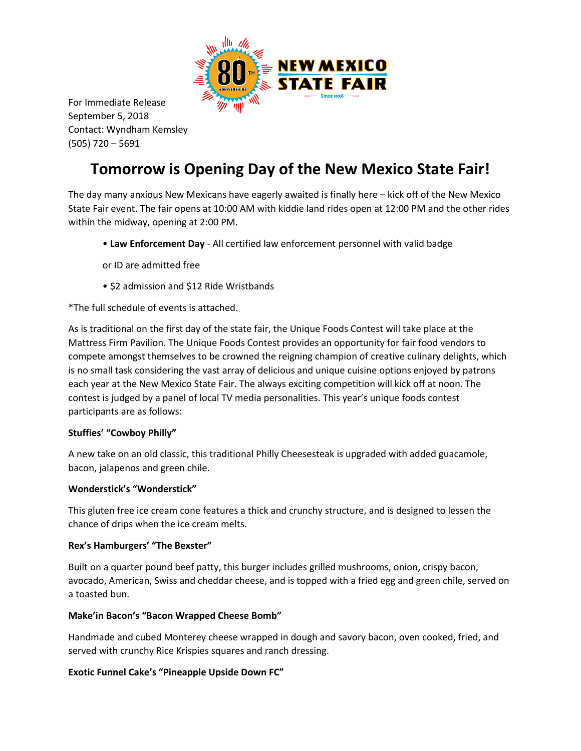

For Immediate Release September 5, 2018 Contact: Wyndham Kemsley (505) 720 – 5691

# **Tomorrow is Opening Day of the New Mexico State Fair!**

The day many anxious New Mexicans have eagerly awaited is finally here – kick off of the New Mexico State Fair event. The fair opens at 10:00 AM with kiddie land rides open at 12:00 PM and the other rides within the midway, opening at 2:00 PM.

- **Law Enforcement Day** All certified law enforcement personnel with valid badge
- or ID are admitted free
- \$2 admission and \$12 Ride Wristbands

\*The full schedule of events is attached.

As is traditional on the first day of the state fair, the Unique Foods Contest will take place at the Mattress Firm Pavilion. The Unique Foods Contest provides an opportunity for fair food vendors to compete amongst themselves to be crowned the reigning champion of creative culinary delights, which is no small task considering the vast array of delicious and unique cuisine options enjoyed by patrons each year at the New Mexico State Fair. The always exciting competition will kick off at noon. The contest is judged by a panel of local TV media personalities. This year's unique foods contest participants are as follows:

#### **Stuffies' "Cowboy Philly"**

A new take on an old classic, this traditional Philly Cheesesteak is upgraded with added guacamole, bacon, jalapenos and green chile.

#### **Wonderstick's "Wonderstick"**

This gluten free ice cream cone features a thick and crunchy structure, and is designed to lessen the chance of drips when the ice cream melts.

#### **Rex's Hamburgers' "The Bexster"**

Built on a quarter pound beef patty, this burger includes grilled mushrooms, onion, crispy bacon, avocado, American, Swiss and cheddar cheese, and is topped with a fried egg and green chile, served on a toasted bun.

#### **Make'in Bacon's "Bacon Wrapped Cheese Bomb"**

Handmade and cubed Monterey cheese wrapped in dough and savory bacon, oven cooked, fried, and served with crunchy Rice Krispies squares and ranch dressing.

#### **Exotic Funnel Cake's "Pineapple Upside Down FC"**